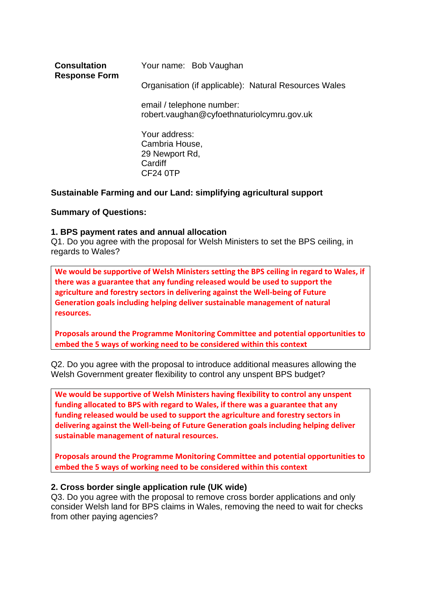| <b>Consultation</b><br><b>Response Form</b> | Your name: Bob Vaughan                                                  |
|---------------------------------------------|-------------------------------------------------------------------------|
|                                             | Organisation (if applicable): Natural Resources Wales                   |
|                                             | email / telephone number:<br>robert.vaughan@cyfoethnaturiolcymru.gov.uk |
|                                             | Your address:<br>Cambria House,<br>29 Newport Rd,<br>Cardiff            |

# **Sustainable Farming and our Land: simplifying agricultural support**

CF24 0TP

## **Summary of Questions:**

## **1. BPS payment rates and annual allocation**

Q1. Do you agree with the proposal for Welsh Ministers to set the BPS ceiling, in regards to Wales?

**We would be supportive of Welsh Ministers setting the BPS ceiling in regard to Wales, if there was a guarantee that any funding released would be used to support the agriculture and forestry sectors in delivering against the Well-being of Future Generation goals including helping deliver sustainable management of natural resources.**

**Proposals around the Programme Monitoring Committee and potential opportunities to embed the 5 ways of working need to be considered within this context**

Q2. Do you agree with the proposal to introduce additional measures allowing the Welsh Government greater flexibility to control any unspent BPS budget?

**We would be supportive of Welsh Ministers having flexibility to control any unspent funding allocated to BPS with regard to Wales, if there was a guarantee that any funding released would be used to support the agriculture and forestry sectors in delivering against the Well-being of Future Generation goals including helping deliver sustainable management of natural resources.** 

**Proposals around the Programme Monitoring Committee and potential opportunities to embed the 5 ways of working need to be considered within this context**

## **2. Cross border single application rule (UK wide)**

Q3. Do you agree with the proposal to remove cross border applications and only consider Welsh land for BPS claims in Wales, removing the need to wait for checks from other paying agencies?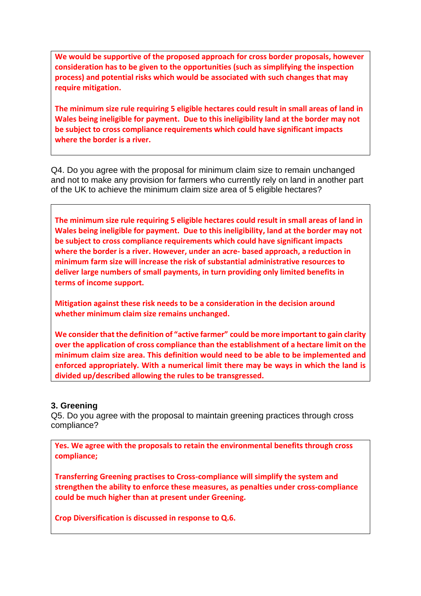**We would be supportive of the proposed approach for cross border proposals, however consideration has to be given to the opportunities (such as simplifying the inspection process) and potential risks which would be associated with such changes that may require mitigation.**

**The minimum size rule requiring 5 eligible hectares could result in small areas of land in Wales being ineligible for payment. Due to this ineligibility land at the border may not be subject to cross compliance requirements which could have significant impacts where the border is a river.**

Q4. Do you agree with the proposal for minimum claim size to remain unchanged and not to make any provision for farmers who currently rely on land in another part of the UK to achieve the minimum claim size area of 5 eligible hectares?

**The minimum size rule requiring 5 eligible hectares could result in small areas of land in Wales being ineligible for payment. Due to this ineligibility, land at the border may not be subject to cross compliance requirements which could have significant impacts where the border is a river. However, under an acre- based approach, a reduction in minimum farm size will increase the risk of substantial administrative resources to deliver large numbers of small payments, in turn providing only limited benefits in terms of income support.** 

**Mitigation against these risk needs to be a consideration in the decision around whether minimum claim size remains unchanged.**

**We consider that the definition of "active farmer" could be more important to gain clarity over the application of cross compliance than the establishment of a hectare limit on the minimum claim size area. This definition would need to be able to be implemented and enforced appropriately. With a numerical limit there may be ways in which the land is divided up/described allowing the rules to be transgressed.**

## **3. Greening**

Q5. Do you agree with the proposal to maintain greening practices through cross compliance?

**Yes. We agree with the proposals to retain the environmental benefits through cross compliance;** 

**Transferring Greening practises to Cross-compliance will simplify the system and strengthen the ability to enforce these measures, as penalties under cross-compliance could be much higher than at present under Greening.**

**Crop Diversification is discussed in response to Q.6.**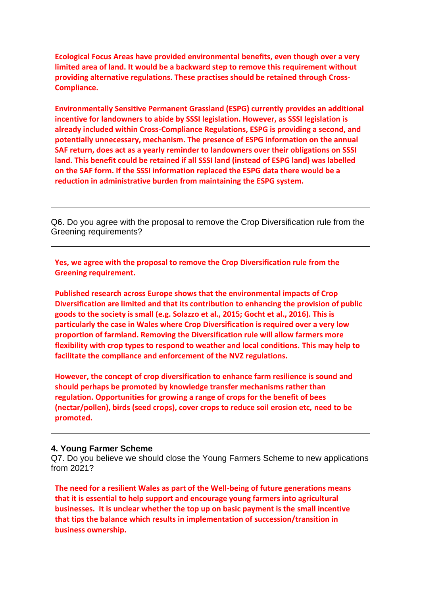**Ecological Focus Areas have provided environmental benefits, even though over a very limited area of land. It would be a backward step to remove this requirement without providing alternative regulations. These practises should be retained through Cross-Compliance.**

**Environmentally Sensitive Permanent Grassland (ESPG) currently provides an additional incentive for landowners to abide by SSSI legislation. However, as SSSI legislation is already included within Cross-Compliance Regulations, ESPG is providing a second, and potentially unnecessary, mechanism. The presence of ESPG information on the annual SAF return, does act as a yearly reminder to landowners over their obligations on SSSI land. This benefit could be retained if all SSSI land (instead of ESPG land) was labelled on the SAF form. If the SSSI information replaced the ESPG data there would be a reduction in administrative burden from maintaining the ESPG system.**

Q6. Do you agree with the proposal to remove the Crop Diversification rule from the Greening requirements?

**Yes, we agree with the proposal to remove the Crop Diversification rule from the Greening requirement.** 

**Published research across Europe shows that the environmental impacts of Crop Diversification are limited and that its contribution to enhancing the provision of public goods to the society is small (e.g. Solazzo et al., 2015; Gocht et al., 2016). This is particularly the case in Wales where Crop Diversification is required over a very low proportion of farmland. Removing the Diversification rule will allow farmers more flexibility with crop types to respond to weather and local conditions. This may help to facilitate the compliance and enforcement of the NVZ regulations.** 

**However, the concept of crop diversification to enhance farm resilience is sound and should perhaps be promoted by knowledge transfer mechanisms rather than regulation. Opportunities for growing a range of crops for the benefit of bees (nectar/pollen), birds (seed crops), cover crops to reduce soil erosion etc, need to be promoted.**

## **4. Young Farmer Scheme**

Q7. Do you believe we should close the Young Farmers Scheme to new applications from 2021?

**The need for a resilient Wales as part of the Well-being of future generations means that it is essential to help support and encourage young farmers into agricultural businesses. It is unclear whether the top up on basic payment is the small incentive that tips the balance which results in implementation of succession/transition in business ownership.**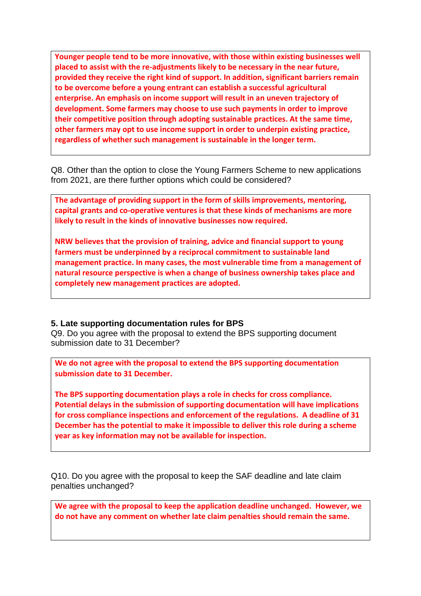**Younger people tend to be more innovative, with those within existing businesses well placed to assist with the re-adjustments likely to be necessary in the near future, provided they receive the right kind of support. In addition, significant barriers remain to be overcome before a young entrant can establish a successful agricultural enterprise. An emphasis on income support will result in an uneven trajectory of development. Some farmers may choose to use such payments in order to improve their competitive position through adopting sustainable practices. At the same time, other farmers may opt to use income support in order to underpin existing practice, regardless of whether such management is sustainable in the longer term.**

Q8. Other than the option to close the Young Farmers Scheme to new applications from 2021, are there further options which could be considered?

**The advantage of providing support in the form of skills improvements, mentoring, capital grants and co-operative ventures is that these kinds of mechanisms are more likely to result in the kinds of innovative businesses now required.** 

**NRW believes that the provision of training, advice and financial support to young farmers must be underpinned by a reciprocal commitment to sustainable land management practice. In many cases, the most vulnerable time from a management of natural resource perspective is when a change of business ownership takes place and completely new management practices are adopted.**

## **5. Late supporting documentation rules for BPS**

Q9. Do you agree with the proposal to extend the BPS supporting document submission date to 31 December?

**We do not agree with the proposal to extend the BPS supporting documentation submission date to 31 December.** 

**The BPS supporting documentation plays a role in checks for cross compliance. Potential delays in the submission of supporting documentation will have implications for cross compliance inspections and enforcement of the regulations. A deadline of 31 December has the potential to make it impossible to deliver this role during a scheme year as key information may not be available for inspection.**

Q10. Do you agree with the proposal to keep the SAF deadline and late claim penalties unchanged?

**We agree with the proposal to keep the application deadline unchanged. However, we do not have any comment on whether late claim penalties should remain the same.**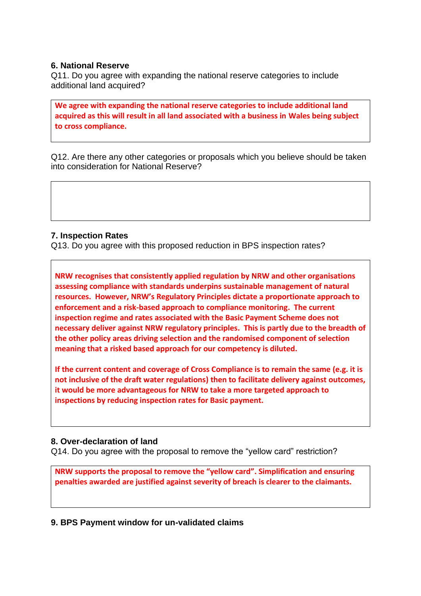## **6. National Reserve**

Q11. Do you agree with expanding the national reserve categories to include additional land acquired?

**We agree with expanding the national reserve categories to include additional land acquired as this will result in all land associated with a business in Wales being subject to cross compliance.**

Q12. Are there any other categories or proposals which you believe should be taken into consideration for National Reserve?

# **7. Inspection Rates**

Q13. Do you agree with this proposed reduction in BPS inspection rates?

**NRW recognises that consistently applied regulation by NRW and other organisations assessing compliance with standards underpins sustainable management of natural resources. However, NRW's Regulatory Principles dictate a proportionate approach to enforcement and a risk-based approach to compliance monitoring. The current inspection regime and rates associated with the Basic Payment Scheme does not necessary deliver against NRW regulatory principles. This is partly due to the breadth of the other policy areas driving selection and the randomised component of selection meaning that a risked based approach for our competency is diluted.** 

**If the current content and coverage of Cross Compliance is to remain the same (e.g. it is not inclusive of the draft water regulations) then to facilitate delivery against outcomes, it would be more advantageous for NRW to take a more targeted approach to inspections by reducing inspection rates for Basic payment.**

# **8. Over-declaration of land**

Q14. Do you agree with the proposal to remove the "yellow card" restriction?

**NRW supports the proposal to remove the "yellow card". Simplification and ensuring penalties awarded are justified against severity of breach is clearer to the claimants.**

**9. BPS Payment window for un-validated claims**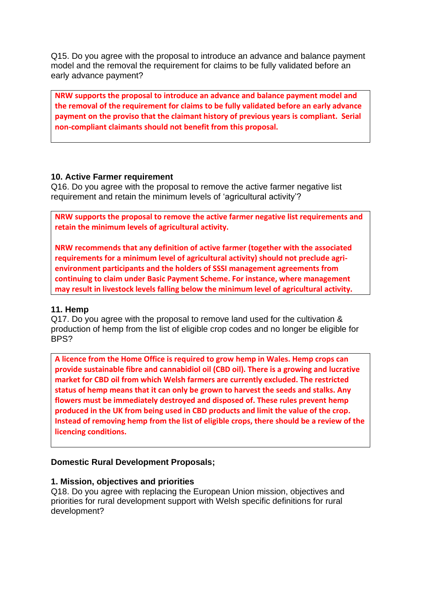Q15. Do you agree with the proposal to introduce an advance and balance payment model and the removal the requirement for claims to be fully validated before an early advance payment?

**NRW supports the proposal to introduce an advance and balance payment model and the removal of the requirement for claims to be fully validated before an early advance payment on the proviso that the claimant history of previous years is compliant. Serial non-compliant claimants should not benefit from this proposal.**

## **10. Active Farmer requirement**

Q16. Do you agree with the proposal to remove the active farmer negative list requirement and retain the minimum levels of 'agricultural activity'?

**NRW supports the proposal to remove the active farmer negative list requirements and retain the minimum levels of agricultural activity.** 

**NRW recommends that any definition of active farmer (together with the associated requirements for a minimum level of agricultural activity) should not preclude agrienvironment participants and the holders of SSSI management agreements from continuing to claim under Basic Payment Scheme. For instance, where management may result in livestock levels falling below the minimum level of agricultural activity.**

## **11. Hemp**

Q17. Do you agree with the proposal to remove land used for the cultivation & production of hemp from the list of eligible crop codes and no longer be eligible for BPS?

**A licence from the Home Office is required to grow hemp in Wales. Hemp crops can provide sustainable fibre and cannabidiol oil (CBD oil). There is a growing and lucrative market for CBD oil from which Welsh farmers are currently excluded. The restricted status of hemp means that it can only be grown to harvest the seeds and stalks. Any flowers must be immediately destroyed and disposed of. These rules prevent hemp produced in the UK from being used in CBD products and limit the value of the crop. Instead of removing hemp from the list of eligible crops, there should be a review of the licencing conditions.**

# **Domestic Rural Development Proposals;**

## **1. Mission, objectives and priorities**

Q18. Do you agree with replacing the European Union mission, objectives and priorities for rural development support with Welsh specific definitions for rural development?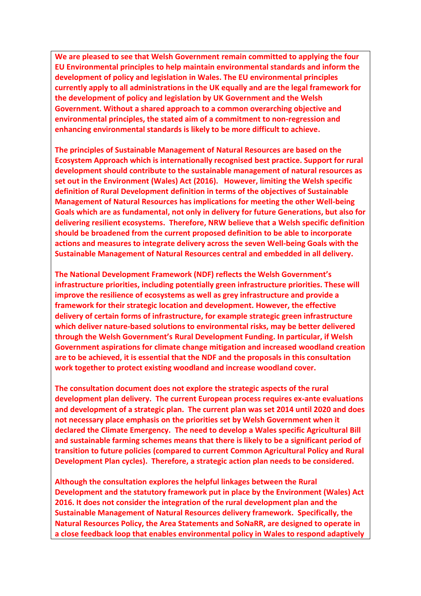**We are pleased to see that Welsh Government remain committed to applying the four EU Environmental principles to help maintain environmental standards and inform the development of policy and legislation in Wales. The EU environmental principles currently apply to all administrations in the UK equally and are the legal framework for the development of policy and legislation by UK Government and the Welsh Government. Without a shared approach to a common overarching objective and environmental principles, the stated aim of a commitment to non-regression and enhancing environmental standards is likely to be more difficult to achieve.** 

**The principles of Sustainable Management of Natural Resources are based on the Ecosystem Approach which is internationally recognised best practice. Support for rural development should contribute to the sustainable management of natural resources as set out in the Environment (Wales) Act (2016). However, limiting the Welsh specific definition of Rural Development definition in terms of the objectives of Sustainable Management of Natural Resources has implications for meeting the other Well-being Goals which are as fundamental, not only in delivery for future Generations, but also for delivering resilient ecosystems. Therefore, NRW believe that a Welsh specific definition should be broadened from the current proposed definition to be able to incorporate actions and measures to integrate delivery across the seven Well-being Goals with the Sustainable Management of Natural Resources central and embedded in all delivery.**

**The National Development Framework (NDF) reflects the Welsh Government's infrastructure priorities, including potentially green infrastructure priorities. These will improve the resilience of ecosystems as well as grey infrastructure and provide a framework for their strategic location and development. However, the effective delivery of certain forms of infrastructure, for example strategic green infrastructure which deliver nature-based solutions to environmental risks, may be better delivered through the Welsh Government's Rural Development Funding. In particular, if Welsh Government aspirations for climate change mitigation and increased woodland creation are to be achieved, it is essential that the NDF and the proposals in this consultation work together to protect existing woodland and increase woodland cover.** 

**The consultation document does not explore the strategic aspects of the rural development plan delivery. The current European process requires ex-ante evaluations and development of a strategic plan. The current plan was set 2014 until 2020 and does not necessary place emphasis on the priorities set by Welsh Government when it declared the Climate Emergency. The need to develop a Wales specific Agricultural Bill and sustainable farming schemes means that there is likely to be a significant period of transition to future policies (compared to current Common Agricultural Policy and Rural Development Plan cycles). Therefore, a strategic action plan needs to be considered.**

**Although the consultation explores the helpful linkages between the Rural Development and the statutory framework put in place by the Environment (Wales) Act 2016. It does not consider the integration of the rural development plan and the Sustainable Management of Natural Resources delivery framework. Specifically, the Natural Resources Policy, the Area Statements and SoNaRR, are designed to operate in a close feedback loop that enables environmental policy in Wales to respond adaptively**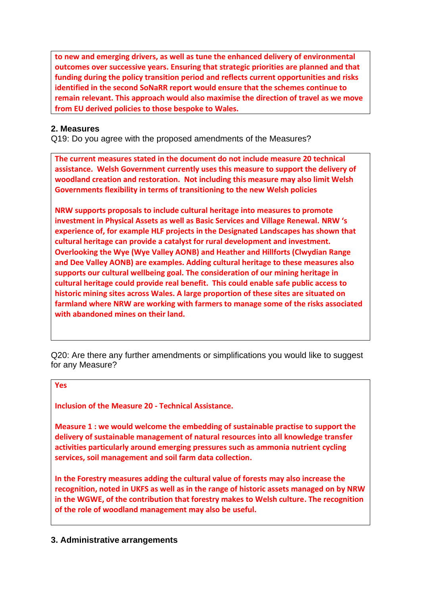**to new and emerging drivers, as well as tune the enhanced delivery of environmental outcomes over successive years. Ensuring that strategic priorities are planned and that funding during the policy transition period and reflects current opportunities and risks identified in the second SoNaRR report would ensure that the schemes continue to remain relevant. This approach would also maximise the direction of travel as we move from EU derived policies to those bespoke to Wales.**

# **2. Measures**

Q19: Do you agree with the proposed amendments of the Measures?

**The current measures stated in the document do not include measure 20 technical assistance. Welsh Government currently uses this measure to support the delivery of woodland creation and restoration. Not including this measure may also limit Welsh Governments flexibility in terms of transitioning to the new Welsh policies**

**NRW supports proposals to include cultural heritage into measures to promote investment in Physical Assets as well as Basic Services and Village Renewal. NRW 's experience of, for example HLF projects in the Designated Landscapes has shown that cultural heritage can provide a catalyst for rural development and investment. Overlooking the Wye (Wye Valley AONB) and Heather and Hillforts (Clwydian Range and Dee Valley AONB) are examples. Adding cultural heritage to these measures also supports our cultural wellbeing goal. The consideration of our mining heritage in cultural heritage could provide real benefit. This could enable safe public access to historic mining sites across Wales. A large proportion of these sites are situated on farmland where NRW are working with farmers to manage some of the risks associated with abandoned mines on their land.**

Q20: Are there any further amendments or simplifications you would like to suggest for any Measure?

# **Yes**

**Inclusion of the Measure 20 - Technical Assistance.**

**Measure 1 : we would welcome the embedding of sustainable practise to support the delivery of sustainable management of natural resources into all knowledge transfer activities particularly around emerging pressures such as ammonia nutrient cycling services, soil management and soil farm data collection.**

**In the Forestry measures adding the cultural value of forests may also increase the recognition, noted in UKFS as well as in the range of historic assets managed on by NRW in the WGWE, of the contribution that forestry makes to Welsh culture. The recognition of the role of woodland management may also be useful.**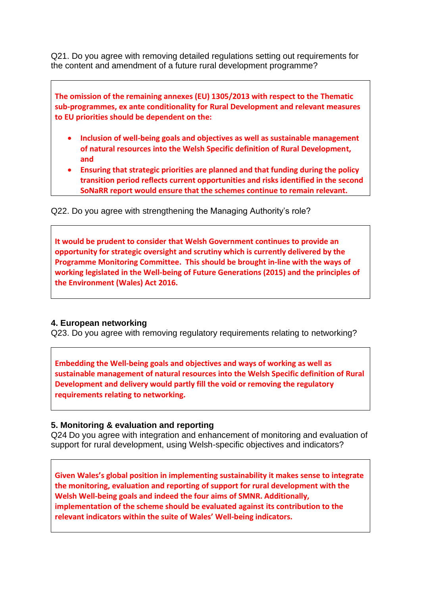Q21. Do you agree with removing detailed regulations setting out requirements for the content and amendment of a future rural development programme?

**The omission of the remaining annexes (EU) 1305/2013 with respect to the Thematic sub-programmes, ex ante conditionality for Rural Development and relevant measures to EU priorities should be dependent on the:**

- **Inclusion of well-being goals and objectives as well as sustainable management of natural resources into the Welsh Specific definition of Rural Development, and**
- **Ensuring that strategic priorities are planned and that funding during the policy transition period reflects current opportunities and risks identified in the second SoNaRR report would ensure that the schemes continue to remain relevant.**

Q22. Do you agree with strengthening the Managing Authority's role?

**It would be prudent to consider that Welsh Government continues to provide an opportunity for strategic oversight and scrutiny which is currently delivered by the Programme Monitoring Committee. This should be brought in-line with the ways of working legislated in the Well-being of Future Generations (2015) and the principles of the Environment (Wales) Act 2016.**

# **4. European networking**

Q23. Do you agree with removing regulatory requirements relating to networking?

**Embedding the Well-being goals and objectives and ways of working as well as sustainable management of natural resources into the Welsh Specific definition of Rural Development and delivery would partly fill the void or removing the regulatory requirements relating to networking.**

# **5. Monitoring & evaluation and reporting**

Q24 Do you agree with integration and enhancement of monitoring and evaluation of support for rural development, using Welsh-specific objectives and indicators?

**Given Wales's global position in implementing sustainability it makes sense to integrate the monitoring, evaluation and reporting of support for rural development with the Welsh Well-being goals and indeed the four aims of SMNR. Additionally, implementation of the scheme should be evaluated against its contribution to the relevant indicators within the suite of Wales' Well-being indicators.**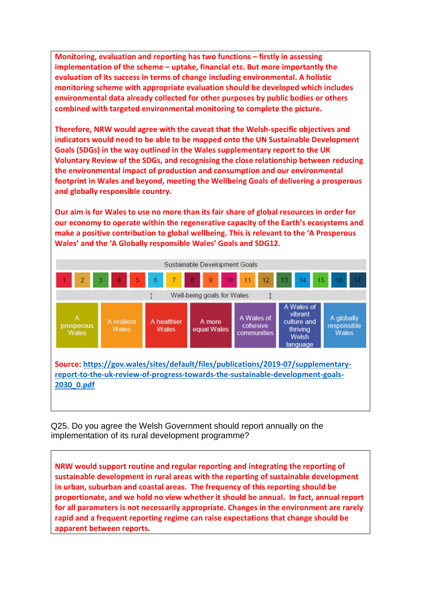**Monitoring, evaluation and reporting has two functions – firstly in assessing implementation of the scheme – uptake, financial etc. But more importantly the evaluation of its success in terms of change including environmental. A holistic monitoring scheme with appropriate evaluation should be developed which includes environmental data already collected for other purposes by public bodies or others combined with targeted environmental monitoring to complete the picture.** 

**Therefore, NRW would agree with the caveat that the Welsh-specific objectives and indicators would need to be able to be mapped onto the UN Sustainable Development Goals (SDGs) in the way outlined in the Wales supplementary report to the UK Voluntary Review of the SDGs, and recognising the close relationship between reducing the environmental impact of production and consumption and our environmental footprint in Wales and beyond, meeting the Wellbeing Goals of delivering a prosperous and globally responsible country.** 

**Our aim is for Wales to use no more than its fair share of global resources in order for our economy to operate within the regenerative capacity of the Earth's ecosystems and make a positive contribution to global wellbeing. This is relevant to the 'A Prosperous Wales' and the 'A Globally responsible Wales' Goals and SDG12.** 



Q25. Do you agree the Welsh Government should report annually on the implementation of its rural development programme?

**NRW would support routine and regular reporting and integrating the reporting of sustainable development in rural areas with the reporting of sustainable development in urban, suburban and coastal areas. The frequency of this reporting should be proportionate, and we hold no view whether it should be annual. In fact, annual report for all parameters is not necessarily appropriate. Changes in the environment are rarely rapid and a frequent reporting regime can raise expectations that change should be apparent between reports.**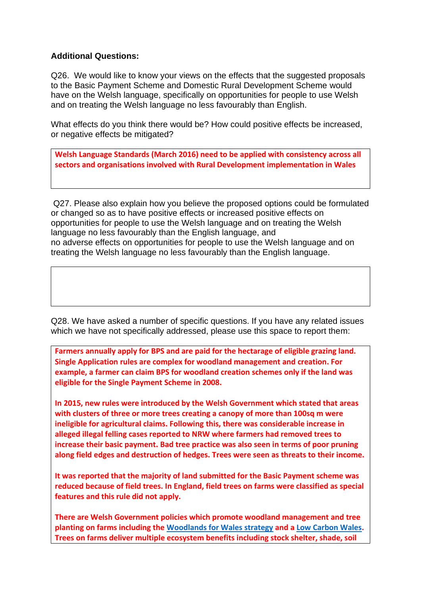# **Additional Questions:**

Q26. We would like to know your views on the effects that the suggested proposals to the Basic Payment Scheme and Domestic Rural Development Scheme would have on the Welsh language, specifically on opportunities for people to use Welsh and on treating the Welsh language no less favourably than English.

What effects do you think there would be? How could positive effects be increased, or negative effects be mitigated?

**Welsh Language Standards (March 2016) need to be applied with consistency across all sectors and organisations involved with Rural Development implementation in Wales**

Q27. Please also explain how you believe the proposed options could be formulated or changed so as to have positive effects or increased positive effects on opportunities for people to use the Welsh language and on treating the Welsh language no less favourably than the English language, and no adverse effects on opportunities for people to use the Welsh language and on treating the Welsh language no less favourably than the English language.

Q28. We have asked a number of specific questions. If you have any related issues which we have not specifically addressed, please use this space to report them:

**Farmers annually apply for BPS and are paid for the hectarage of eligible grazing land. Single Application rules are complex for woodland management and creation. For example, a farmer can claim BPS for woodland creation schemes only if the land was eligible for the Single Payment Scheme in 2008.**

**In 2015, new rules were introduced by the Welsh Government which stated that areas with clusters of three or more trees creating a canopy of more than 100sq m were ineligible for agricultural claims. Following this, there was considerable increase in alleged illegal felling cases reported to NRW where farmers had removed trees to increase their basic payment. Bad tree practice was also seen in terms of poor pruning along field edges and destruction of hedges. Trees were seen as threats to their income.** 

**It was reported that the majority of land submitted for the Basic Payment scheme was reduced because of field trees. In England, field trees on farms were classified as special features and this rule did not apply.** 

**There are Welsh Government policies which promote woodland management and tree planting on farms including the [Woodlands for Wales strategy](https://gov.wales/sites/default/files/publications/2018-06/woodlands-for-wales-strategy_0.pdf) and a [Low Carbon Wales.](https://gov.wales/prosperity-all-low-carbon-wales) Trees on farms deliver multiple ecosystem benefits including stock shelter, shade, soil**